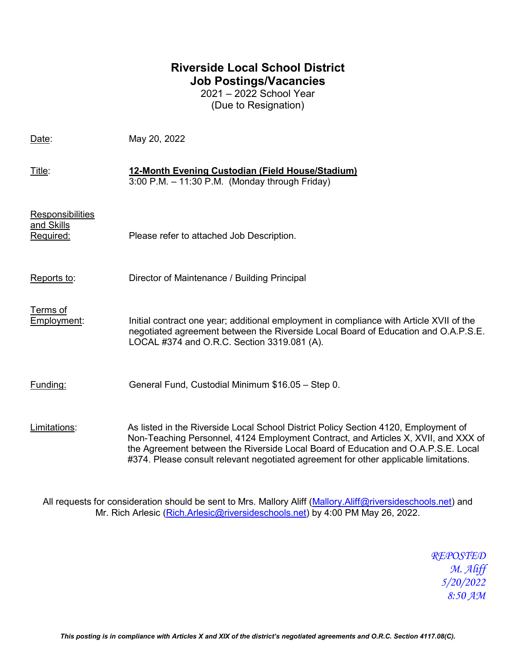## **Riverside Local School District Job Postings/Vacancies**

2021 – 2022 School Year (Due to Resignation)

| Date:                                              | May 20, 2022                                                                                                                                                                                                                                                                                                                                           |
|----------------------------------------------------|--------------------------------------------------------------------------------------------------------------------------------------------------------------------------------------------------------------------------------------------------------------------------------------------------------------------------------------------------------|
| Title:                                             | 12-Month Evening Custodian (Field House/Stadium)<br>$3:00$ P.M. $-11:30$ P.M. (Monday through Friday)                                                                                                                                                                                                                                                  |
| <b>Responsibilities</b><br>and Skills<br>Required: | Please refer to attached Job Description.                                                                                                                                                                                                                                                                                                              |
| Reports to:                                        | Director of Maintenance / Building Principal                                                                                                                                                                                                                                                                                                           |
| Terms of<br>Employment:                            | Initial contract one year; additional employment in compliance with Article XVII of the<br>negotiated agreement between the Riverside Local Board of Education and O.A.P.S.E.<br>LOCAL #374 and O.R.C. Section 3319.081 (A).                                                                                                                           |
| Funding:                                           | General Fund, Custodial Minimum \$16.05 - Step 0.                                                                                                                                                                                                                                                                                                      |
| Limitations:                                       | As listed in the Riverside Local School District Policy Section 4120, Employment of<br>Non-Teaching Personnel, 4124 Employment Contract, and Articles X, XVII, and XXX of<br>the Agreement between the Riverside Local Board of Education and O.A.P.S.E. Local<br>#374. Please consult relevant negotiated agreement for other applicable limitations. |

All requests for consideration should be sent to Mrs. Mallory Aliff [\(Mallory.Aliff@riversideschools.net\)](mailto:Mallory.Aliff@riversideschools.net) and Mr. Rich Arlesic [\(Rich.Arlesic@riversideschools.net\)](mailto:Rich.Arlesic@riversideschools.net) by 4:00 PM May 26, 2022.

> *REPOSTED M. Aliff 5/20/2022 8:50 AM*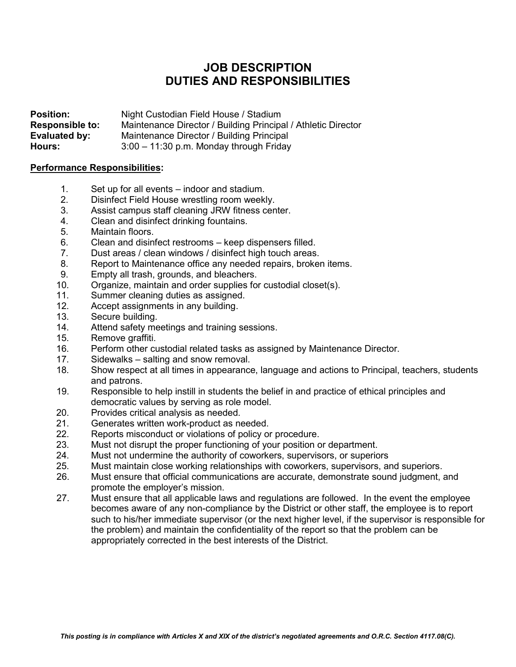## **JOB DESCRIPTION DUTIES AND RESPONSIBILITIES**

**Position:** Night Custodian Field House / Stadium<br> **Responsible to:** Maintenance Director / Building Principa **Responsible to:** Maintenance Director / Building Principal / Athletic Director<br> **Evaluated by:** Maintenance Director / Building Principal **Evaluated by:** Maintenance Director / Building Principal<br> **Hours:** 3:00 – 11:30 p.m. Monday through Friday **Hours:** 3:00 – 11:30 p.m. Monday through Friday

## **Performance Responsibilities:**

- 1. Set up for all events indoor and stadium.<br>2. Disinfect Field House wrestling room week
- Disinfect Field House wrestling room weekly.
- 3. Assist campus staff cleaning JRW fitness center.
- 4. Clean and disinfect drinking fountains.
- 5. Maintain floors.
- 6. Clean and disinfect restrooms keep dispensers filled.
- 7. Dust areas / clean windows / disinfect high touch areas.
- 8. Report to Maintenance office any needed repairs, broken items.<br>9. Fmpty all trash grounds and bleachers
- Empty all trash, grounds, and bleachers.
- 10. Organize, maintain and order supplies for custodial closet(s).
- 11. Summer cleaning duties as assigned.<br>12. Accept assignments in any building.
- Accept assignments in any building.
- 13. Secure building.
- 14. Attend safety meetings and training sessions.
- 15. Remove graffiti.
- 16. Perform other custodial related tasks as assigned by Maintenance Director.
- 17. Sidewalks salting and snow removal.
- 18. Show respect at all times in appearance, language and actions to Principal, teachers, students and patrons.
- 19. Responsible to help instill in students the belief in and practice of ethical principles and democratic values by serving as role model.
- 20. Provides critical analysis as needed.
- 21. Generates written work-product as needed.
- 22. Reports misconduct or violations of policy or procedure.
- 23. Must not disrupt the proper functioning of your position or department.
- 24. Must not undermine the authority of coworkers, supervisors, or superiors
- 25. Must maintain close working relationships with coworkers, supervisors, and superiors.
- 26. Must ensure that official communications are accurate, demonstrate sound judgment, and promote the employer's mission.
- 27. Must ensure that all applicable laws and regulations are followed. In the event the employee becomes aware of any non-compliance by the District or other staff, the employee is to report such to his/her immediate supervisor (or the next higher level, if the supervisor is responsible for the problem) and maintain the confidentiality of the report so that the problem can be appropriately corrected in the best interests of the District.